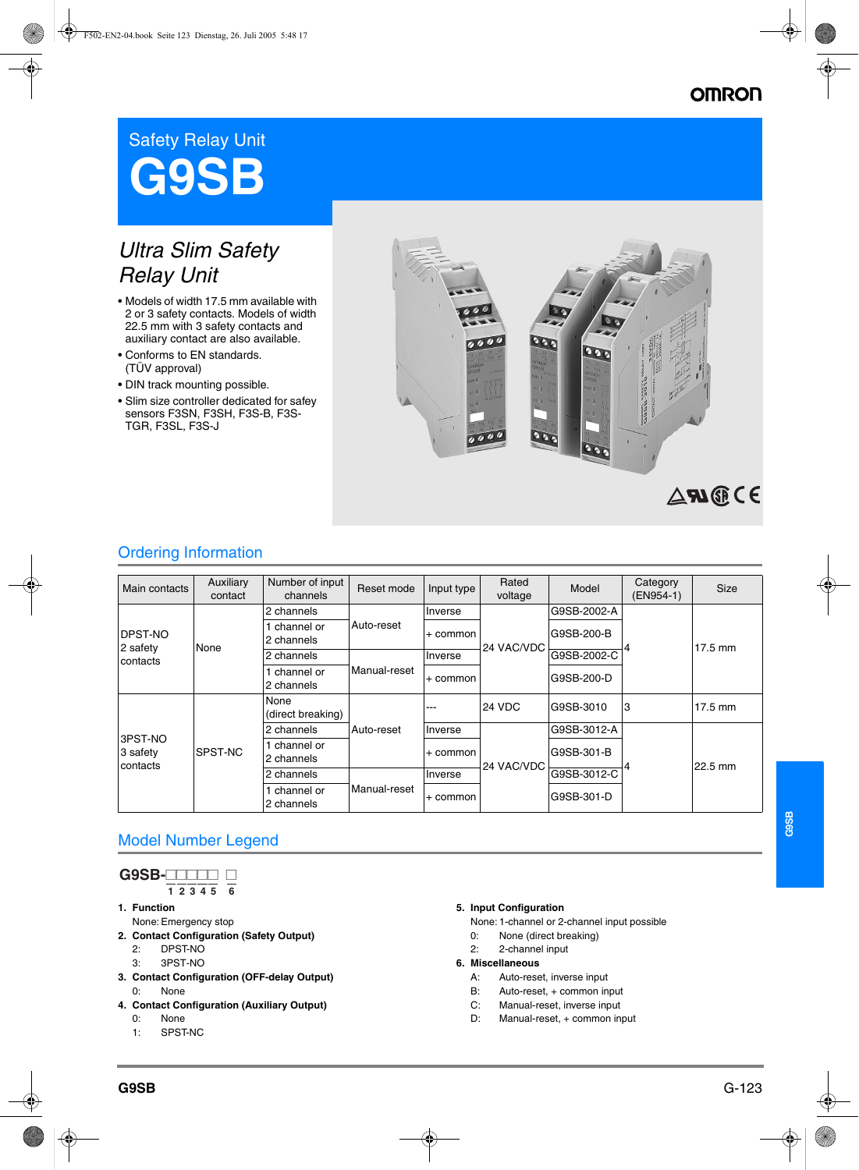# **OMRON**

# Safety Relay Unit **G9SB**

# *Ultra Slim Safety Relay Unit*

- Models of width 17.5 mm available with 2 or 3 safety contacts. Models of width 22.5 mm with 3 safety contacts and auxiliary contact are also available.
- Conforms to EN standards. (TÜV approval)
- DIN track mounting possible.
- Slim size controller dedicated for safey sensors F3SN, F3SH, F3S-B, F3S-TGR, F3SL, F3S-J



## Ordering Information

| Main contacts                           | Auxiliary<br>contact | Number of input<br>channels | Reset mode   | Input type | Rated<br>voltage | Model       | Category<br>(EN954-1) | <b>Size</b>       |
|-----------------------------------------|----------------------|-----------------------------|--------------|------------|------------------|-------------|-----------------------|-------------------|
| <b>IDPST-NO</b><br>2 safety<br>contacts | None                 | 2 channels                  | Auto-reset   | Inverse    | 24 VAC/VDC       | G9SB-2002-A | 4                     | $17.5 \text{ mm}$ |
|                                         |                      | channel or<br>2 channels    |              | + common   |                  | G9SB-200-B  |                       |                   |
|                                         |                      | 2 channels                  | Manual-reset | Inverse    |                  | G9SB-2002-C |                       |                   |
|                                         |                      | channel or<br>2 channels    |              | + common   |                  | G9SB-200-D  |                       |                   |
| 3PST-NO<br>3 safety<br>contacts         | SPST-NC              | None<br>(direct breaking)   | Auto-reset   | ---        | 24 VDC           | G9SB-3010   | 3                     | $17.5 \text{ mm}$ |
|                                         |                      | 2 channels                  |              | Inverse    | 24 VAC/VDC       | G9SB-3012-A |                       | 22.5 mm           |
|                                         |                      | channel or<br>2 channels    |              | + common   |                  | G9SB-301-B  |                       |                   |
|                                         |                      | 2 channels                  | Manual-reset | Inverse    |                  | G9SB-3012-C |                       |                   |
|                                         |                      | channel or<br>2 channels    |              | + common   |                  | G9SB-301-D  |                       |                   |

## Model Number Legend

| B-F<br>. |  |  |  |
|----------|--|--|--|
|          |  |  |  |

- **1. Function 1 2 3 4 5 6**
- None: Emergency stop
- **2. Contact Configuration (Safety Output)**
	- 2: DPST-NO
	- 3: 3PST-NO
- **3. Contact Configuration (OFF-delay Output)** 0: None
- **4. Contact Configuration (Auxiliary Output)**
	- 0: None
	- 1: SPST-NC

#### **5. Input Configuration**

- None: 1-channel or 2-channel input possible
- 0: None (direct breaking)
- 2: 2-channel input
- **6. Miscellaneous**
	- A: Auto-reset, inverse input<br> $B:$  Auto-reset + common in
	- Auto-reset, + common input
	- C: Manual-reset, inverse input
	- D: Manual-reset, + common input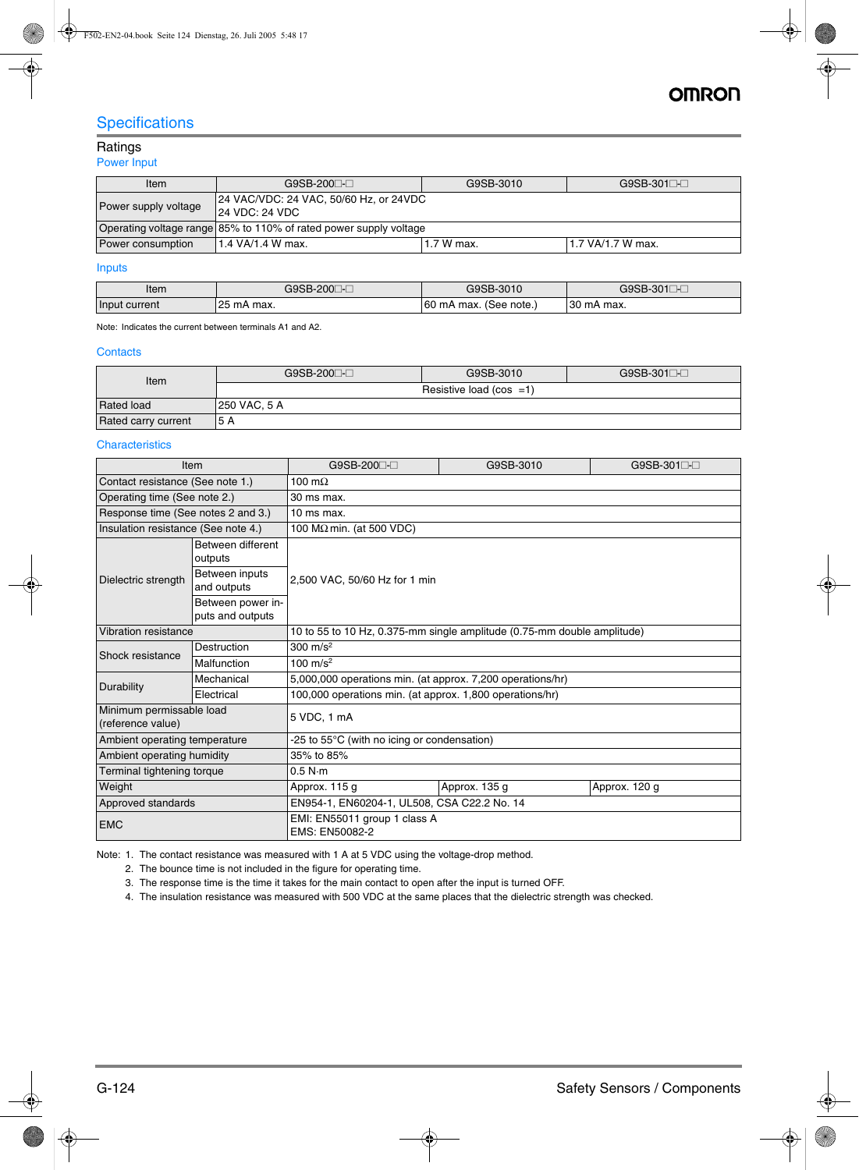## **Specifications**

## Ratings

#### Power Input

| Item                                                                                                | G9SB-200⊟-⊟                                                       | G9SB-3010  | $G9SB-301$        |  |  |
|-----------------------------------------------------------------------------------------------------|-------------------------------------------------------------------|------------|-------------------|--|--|
| 24 VAC/VDC: 24 VAC, 50/60 Hz, or 24VDC<br>Power supply voltage<br>$ 24 \text{ VDC}: 24 \text{ VDC}$ |                                                                   |            |                   |  |  |
|                                                                                                     | Operating voltage range 85% to 110% of rated power supply voltage |            |                   |  |  |
| Power consumption                                                                                   | 11.4 VA/1.4 W max.                                                | 1.7 W max. | 1.7 VA/1.7 W max. |  |  |

## Inputs

| Item             | ∩∩∩<br>$-200^-$               | G9SB-3010                     | G9SB-<br>201<br>- ∪∪ ⊓ |
|------------------|-------------------------------|-------------------------------|------------------------|
| Input<br>current | りつに<br>mA<br>max.<br><u>_</u> | '60<br>(See note.<br>∩mA max. | 30<br>∍mA<br>. max.    |

Note: Indicates the current between terminals A1 and A2.

#### **Contacts**

| Item                | G9SB-200□-□                | G9SB-3010 | $G9SB-301$ |  |  |  |
|---------------------|----------------------------|-----------|------------|--|--|--|
|                     | Resistive load (cos $=1$ ) |           |            |  |  |  |
| <b>Rated load</b>   | <b>250 VAC, 5 A</b>        |           |            |  |  |  |
| Rated carry current | 15 A                       |           |            |  |  |  |

#### **Characteristics**

|                                               | <b>Item</b>                           | G9SB-200 <sup>----</sup>                                                | G9SB-3010     | G9SB-301□-□   |  |  |  |
|-----------------------------------------------|---------------------------------------|-------------------------------------------------------------------------|---------------|---------------|--|--|--|
| Contact resistance (See note 1.)              |                                       | 100 m $\Omega$                                                          |               |               |  |  |  |
| Operating time (See note 2.)                  |                                       | 30 ms max.                                                              |               |               |  |  |  |
| Response time (See notes 2 and 3.)            |                                       | 10 ms max.                                                              |               |               |  |  |  |
| Insulation resistance (See note 4.)           |                                       | 100 $M\Omega$ min. (at 500 VDC)                                         |               |               |  |  |  |
| Between different<br>outputs                  |                                       |                                                                         |               |               |  |  |  |
| Dielectric strength                           | Between inputs<br>and outputs         | 2,500 VAC, 50/60 Hz for 1 min                                           |               |               |  |  |  |
|                                               | Between power in-<br>puts and outputs |                                                                         |               |               |  |  |  |
| Vibration resistance                          |                                       | 10 to 55 to 10 Hz, 0.375-mm single amplitude (0.75-mm double amplitude) |               |               |  |  |  |
| Shock resistance                              | Destruction                           | 300 $m/s^2$                                                             |               |               |  |  |  |
| Malfunction                                   |                                       | 100 $m/s^2$                                                             |               |               |  |  |  |
| Durability                                    | Mechanical                            | 5,000,000 operations min. (at approx. 7,200 operations/hr)              |               |               |  |  |  |
|                                               | Electrical                            | 100,000 operations min. (at approx. 1,800 operations/hr)                |               |               |  |  |  |
| Minimum permissable load<br>(reference value) |                                       | 5 VDC, 1 mA                                                             |               |               |  |  |  |
| Ambient operating temperature                 |                                       | -25 to 55°C (with no icing or condensation)                             |               |               |  |  |  |
| Ambient operating humidity                    |                                       | 35% to 85%                                                              |               |               |  |  |  |
| Terminal tightening torque                    |                                       | 0.5 N·m                                                                 |               |               |  |  |  |
| Weight                                        |                                       | Approx. 115 g                                                           | Approx. 135 g | Approx. 120 g |  |  |  |
| Approved standards                            |                                       | EN954-1, EN60204-1, UL508, CSA C22.2 No. 14                             |               |               |  |  |  |
| <b>EMC</b>                                    |                                       | EMI: EN55011 group 1 class A<br>EMS: EN50082-2                          |               |               |  |  |  |

Note: 1. The contact resistance was measured with 1 A at 5 VDC using the voltage-drop method.

2. The bounce time is not included in the figure for operating time.

3. The response time is the time it takes for the main contact to open after the input is turned OFF.

4. The insulation resistance was measured with 500 VDC at the same places that the dielectric strength was checked.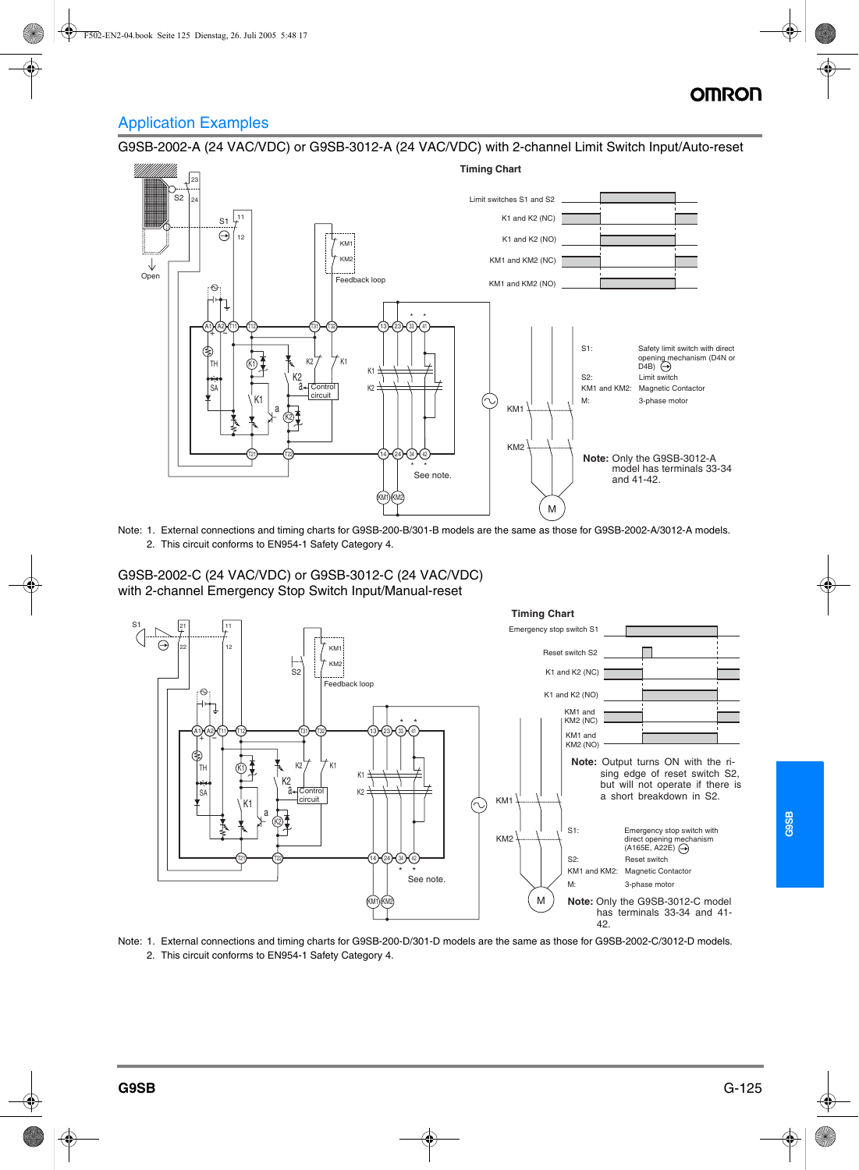# OMRO

## Application Examples

G9SB-2002-A (24 VAC/VDC) or G9SB-3012-A (24 VAC/VDC) with 2-channel Limit Switch Input/Auto-reset



Note: 1. External connections and timing charts for G9SB-200-B/301-B models are the same as those for G9SB-2002-A/3012-A models. 2. This circuit conforms to EN954-1 Safety Category 4.

G9SB-2002-C (24 VAC/VDC) or G9SB-3012-C (24 VAC/VDC) with 2-channel Emergency Stop Switch Input/Manual-reset



Note: 1. External connections and timing charts for G9SB-200-D/301-D models are the same as those for G9SB-2002-C/3012-D models. 2. This circuit conforms to EN954-1 Safety Category 4.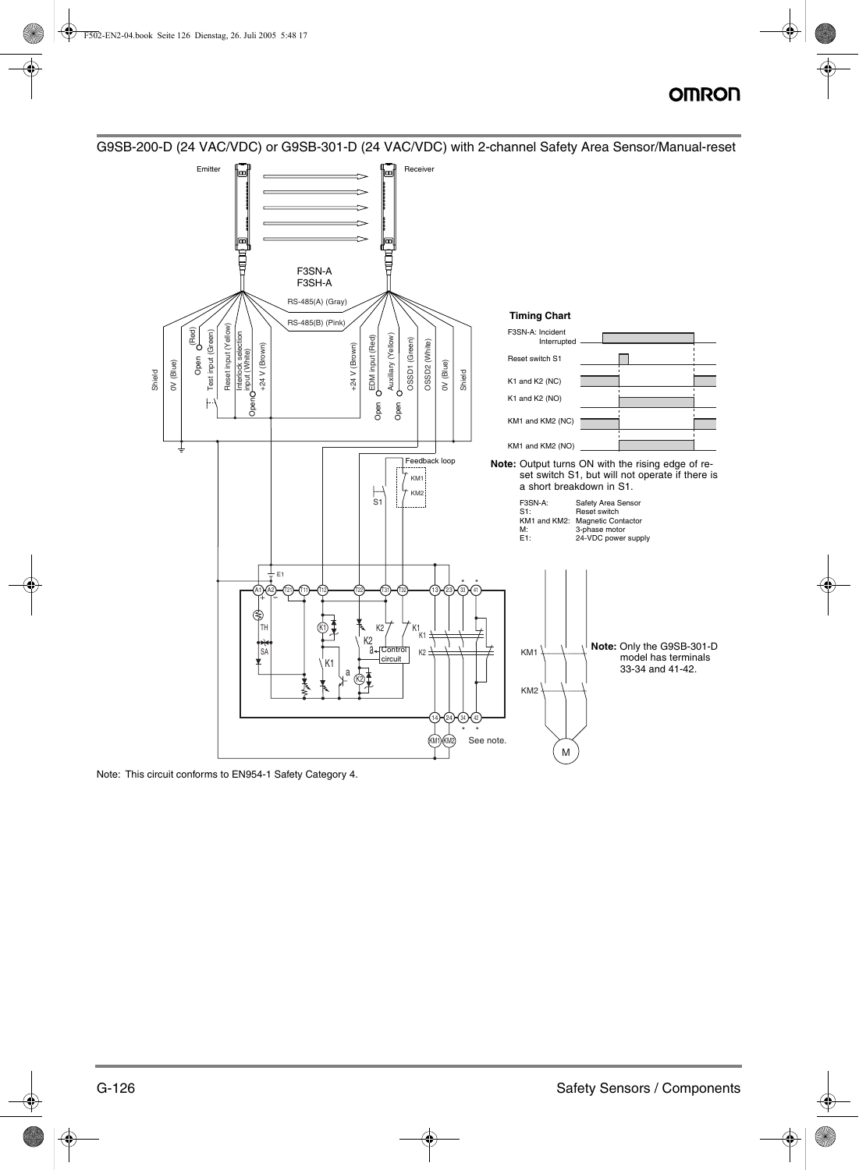# **OMRON**



G9SB-200-D (24 VAC/VDC) or G9SB-301-D (24 VAC/VDC) with 2-channel Safety Area Sensor/Manual-reset

Note: This circuit conforms to EN954-1 Safety Category 4.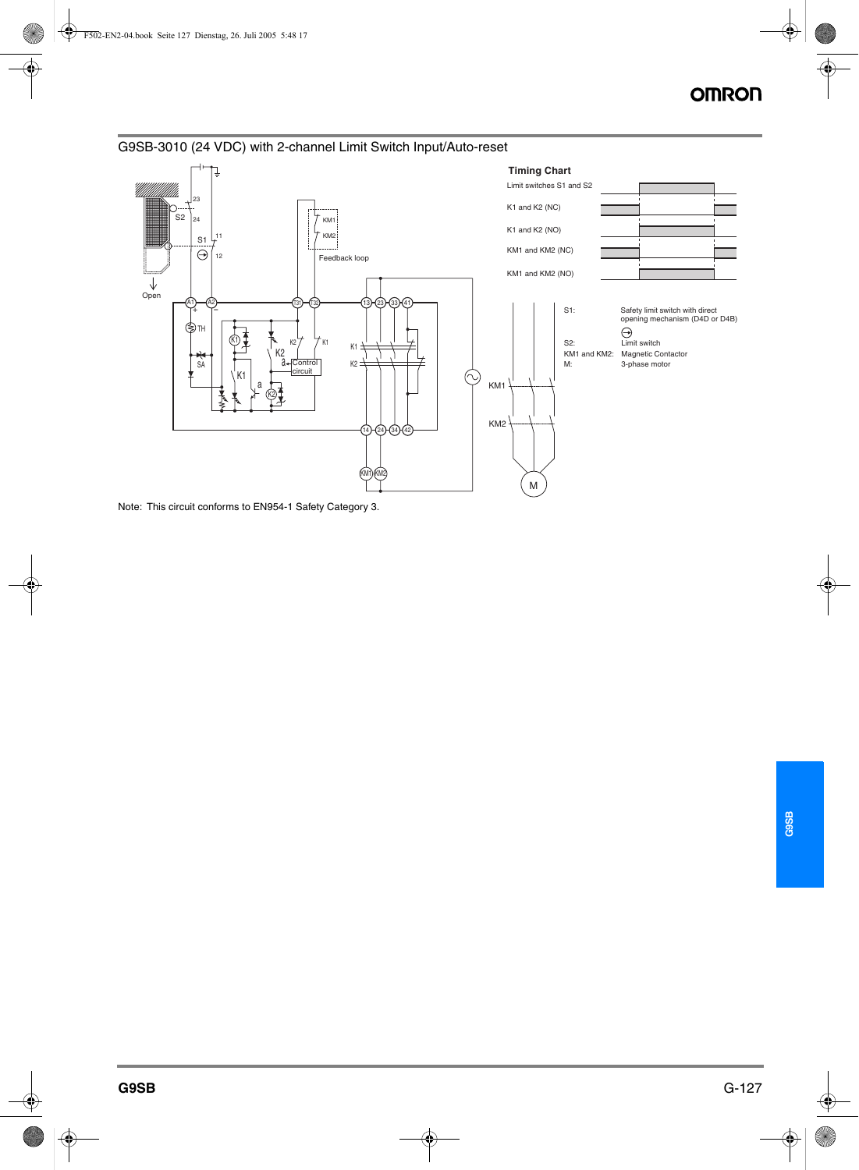



Note: This circuit conforms to EN954-1 Safety Category 3.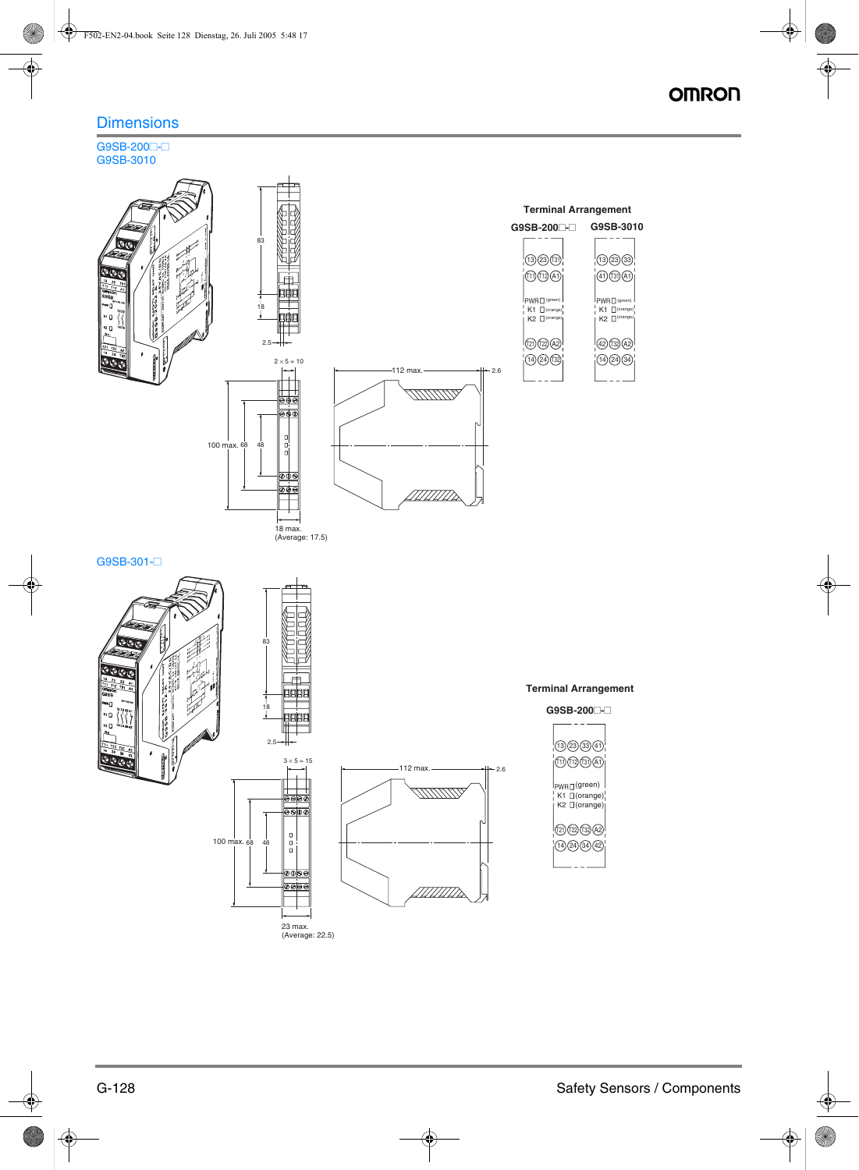## **OMRON**

## **Dimensions**

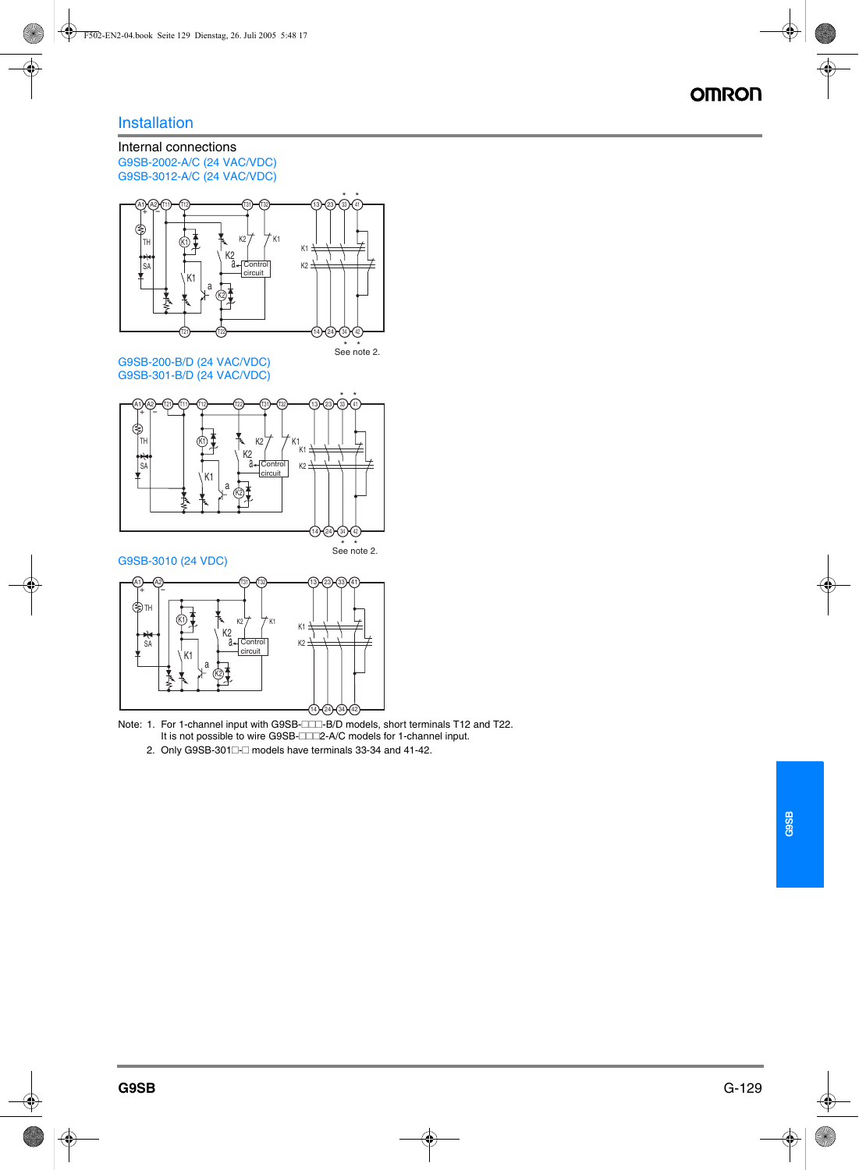## Installation

## Internal connections G9SB-2002-A/C (24 VAC/VDC) G9SB-3012-A/C (24 VAC/VDC)



G9SB-200-B/D (24 VAC/VDC) G9SB-301-B/D (24 VAC/VDC)





Note: 1. For 1-channel input with G9SB- $\Box\Box\Box$ -B/D models, short terminals T12 and T22.<br>It is not possible to wire G9SB- $\Box\Box\Box$ P-A/C models for 1-channel input It is not possible to wire G9SB-IIII2-A/C models for 1-channel input.<br>Only COSB 2011 E models have terminals 22.24 and 41.49.

2. Only G9SB-301 $\Box$  models have terminals 33-34 and 41-42.